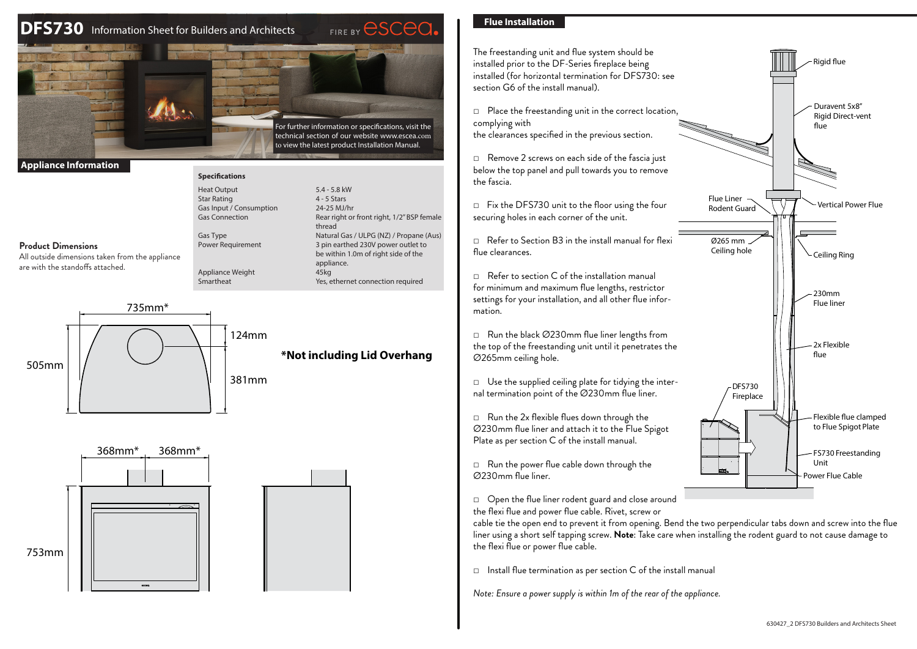# **DFS730** Information Sheet for Builders and Architects



**Specifications** Heat Output **Star Rating** Gas Input / Consum Gas Connection

124mm

**Appliance Information**

# **Product Dimensions**

All outside dimensions taken from the appliance are with the standoffs attached.

| <b>Heat Output</b>            | 5.4 - 5.8 kW                                                                            |
|-------------------------------|-----------------------------------------------------------------------------------------|
| <b>Star Rating</b>            | $4 - 5$ Stars                                                                           |
| Gas Input / Consumption       | 24-25 MJ/hr                                                                             |
| <b>Gas Connection</b>         | Rear right or front right, 1/2" BSP female<br>thread                                    |
| Gas Type                      | Natural Gas / ULPG (NZ) / Propane (Aus)                                                 |
| <b>Power Requirement</b>      | 3 pin earthed 230V power outlet to<br>be within 1.0m of right side of the<br>appliance. |
| Appliance Weight<br>Smartheat | 45kg<br>Yes, ethernet connection required                                               |

**\*Not including Lid Overhang**

505mm





735mm\*

# **Flue Installation**



□ Open the flue liner rodent guard and close around

the flexi flue and power flue cable. Rivet, screw or

cable tie the open end to prevent it from opening. Bend the two perpendicular tabs down and screw into the flue liner using a short self tapping screw. **Note**: Take care when installing the rodent guard to not cause damage to the flexi flue or power flue cable.

 $\Box$  Install flue termination as per section C of the install manual

*Note: Ensure a power supply is within 1m of the rear of the appliance.*